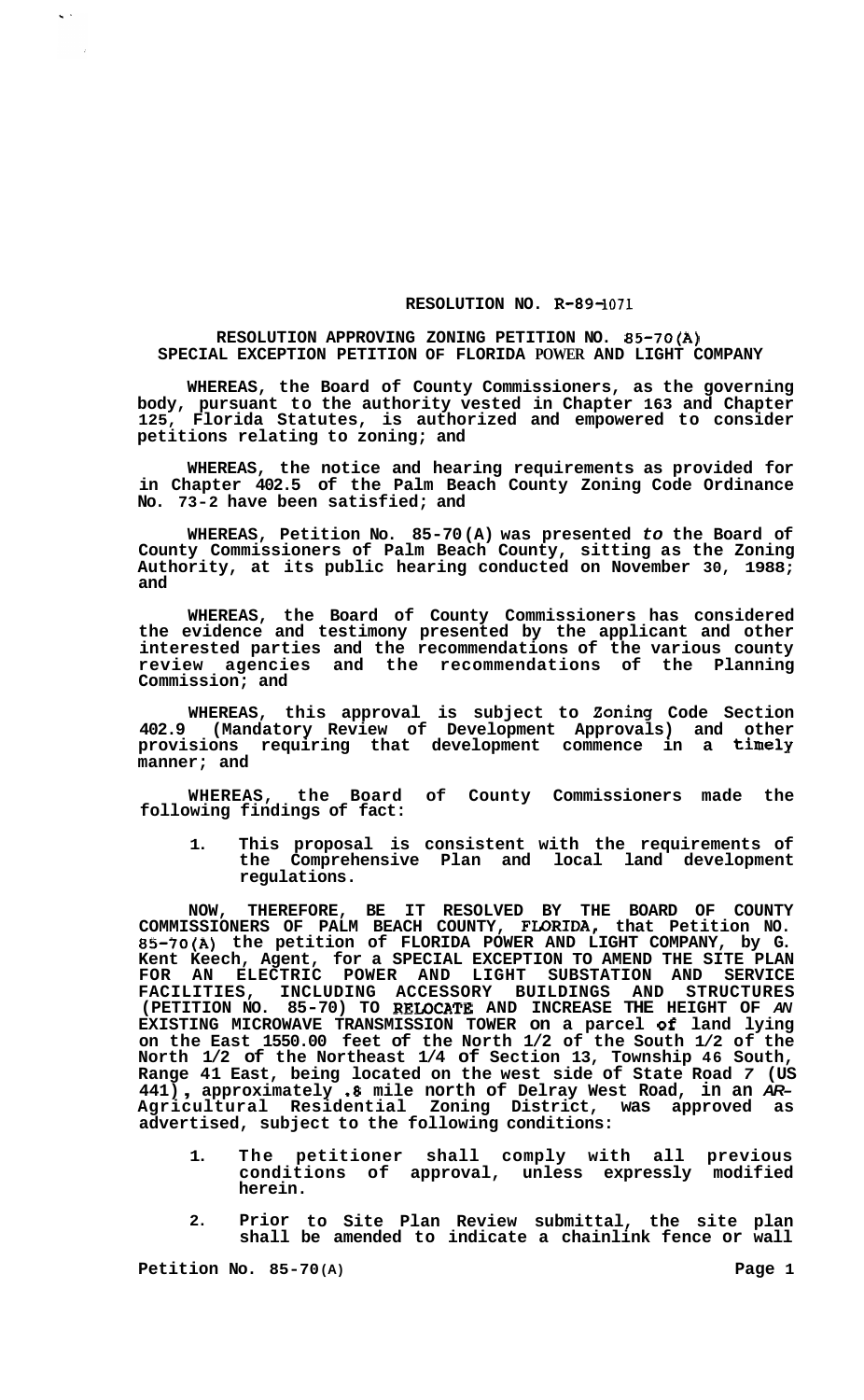## **RESOLUTION NO. R-89-1071**

## **RESOLUTION APPROVING ZONING PETITION NO. 85-70(A) SPECIAL EXCEPTION PETITION OF FLORIDA POWER AND LIGHT COMPANY**

**WHEREAS, the Board of County Commissioners, as the governing body, pursuant to the authority vested in Chapter 163 and Chapter 125, Florida Statutes, is authorized and empowered to consider petitions relating to zoning; and** 

**WHEREAS, the notice and hearing requirements as provided for in Chapter 402.5 of the Palm Beach County Zoning Code Ordinance No. 73-2 have been satisfied; and** 

**WHEREAS, Petition No. 85-70 (A) was presented** *to* **the Board of County Commissioners of Palm Beach County, sitting as the Zoning Authority, at its public hearing conducted on November 30, 1988; and** 

**WHEREAS, the Board of County Commissioners has considered the evidence and testimony presented by the applicant and other interested parties and the recommendations of the various county review agencies and the recommendations of the Planning Commission; and** 

**WHEREAS, this approval is subject to Zoning Code Section 402.9 (Mandatory Review of Development Approvals) and other provisions requiring that development commence in a timely manner; and** 

**WHEREAS, the Board of County Commissioners made the following findings of fact:** 

**1. This proposal is consistent with the requirements of the Comprehensive Plan and local land development regulations.** 

**NOW, THEREFORE, BE IT RESOLVED BY THE BOARD OF COUNTY COMMISSIONERS OF PALM BEACH COUNTY, FLORIDA, that Petition NO. 85-70(A) the petition of FLORIDA POWER AND LIGHT COMPANY, by G. Kent Keech, Agent, for a SPECIAL EXCEPTION TO AMEND THE SITE PLAN FOR AN ELECTRIC POWER AND LIGHT SUBSTATION AND SERVICE FACILITIES, INCLUDING ACCESSORY BUILDINGS AND STRUCTURES (PETITION NO. 85-70) TO REIOCATE AND INCREASE THE HEIGHT OF** *AN*  **EXISTING MICROWAVE TRANSMISSION TOWER on a parcel of land lying on the East 1550.00 feet of the North 1/2 of the South 1/2 of the North 1/2 of the Northeast 1/4 of Section 13, Township 46 South, Range 41 East, being located on the west side of State Road** *7* **(US 441)** , **approximately** *.8* **mile north of Delray West Road, in an** *AR-***Agricultural Residential Zoning District, was approved as advertised, subject to the following conditions:** 

- **1. The petitioner shall comply with all previous conditions of approval, unless expressly modified herein.**
- **2. Prior to Site Plan Review submittal, the site plan shall be amended to indicate a chainlink fence or wall**

**Petition No. 85-70 (A) Page 1** 

 $\zeta$  .

 $\sim$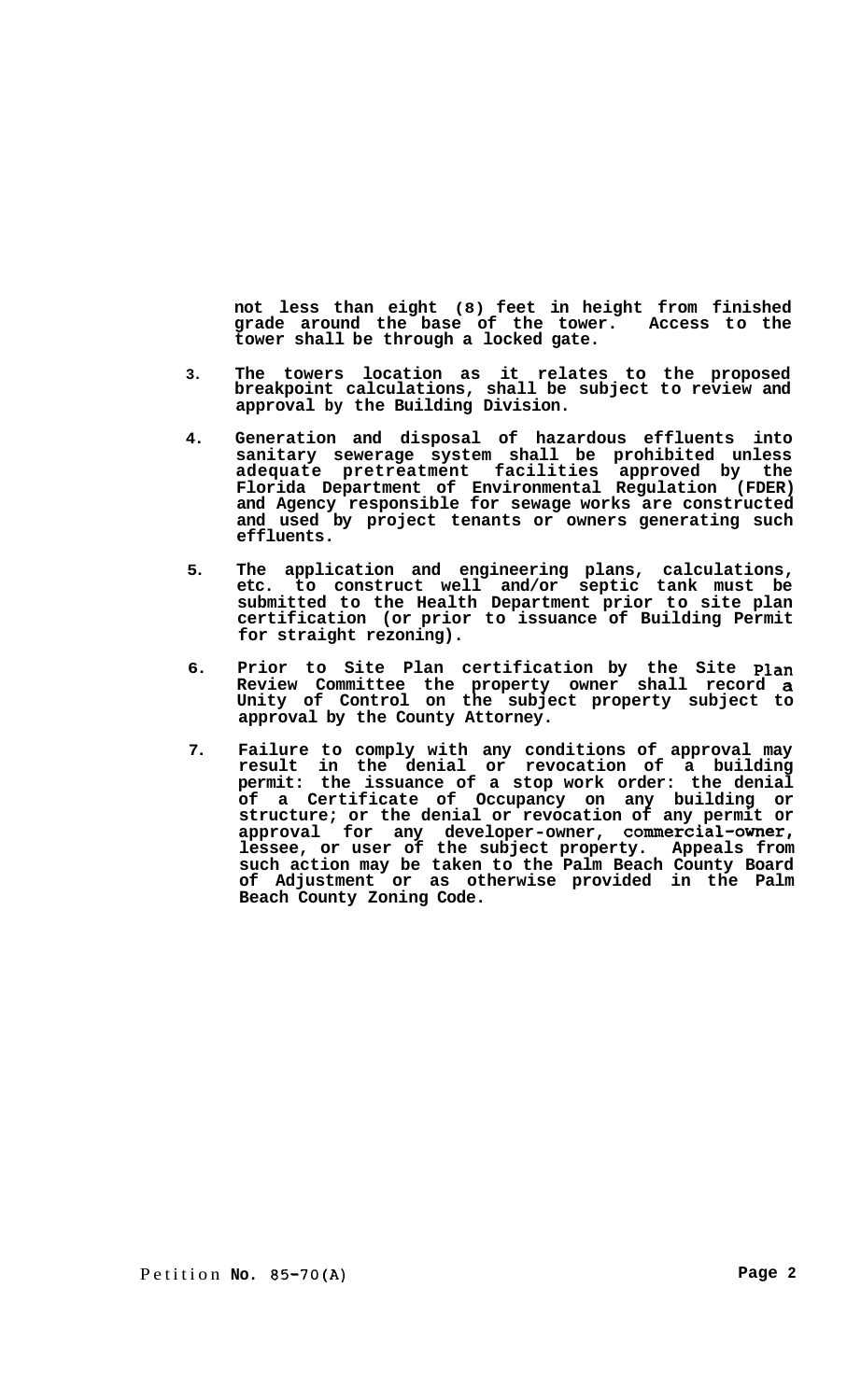**not less than eight (8) feet in height from finished grade around the base of the tower. Access to the tower shall be through a locked gate.** 

- **3. The towers location as it relates to the proposed breakpoint calculations, shall be subject to review and approval by the Building Division.**
- **4. Generation and disposal of hazardous effluents into sanitary sewerage system shall be prohibited unless adequate pretreatment facilities approved by the Florida Department of Environmental Regulation (FDER) and Agency responsible for sewage works are constructed and used by project tenants or owners generating such effluents.**
- **5. The application and engineering plans, calculations, etc. to construct well and/or septic tank must be submitted to the Health Department prior to site plan certification (or prior to issuance of Building Permit for straight rezoning).**
- **6. Prior to Site Plan certification by the Site plan Review Committee the property owner shall record a Unity of Control on the subject property subject to approval by the County Attorney.**
- **7. Failure to comply with any conditions of approval may result in the denial or revocation of a building permit: the issuance of a stop work order: the denial of a Certificate of Occupancy on any building or structure; or the denial or revocation of any permit or approval for any developer-owner, commercial-owner, lessee, or user of the subject property. Appeals from such action may be taken to the Palm Beach County Board of Adjustment or as otherwise provided in the Palm Beach County Zoning Code.**